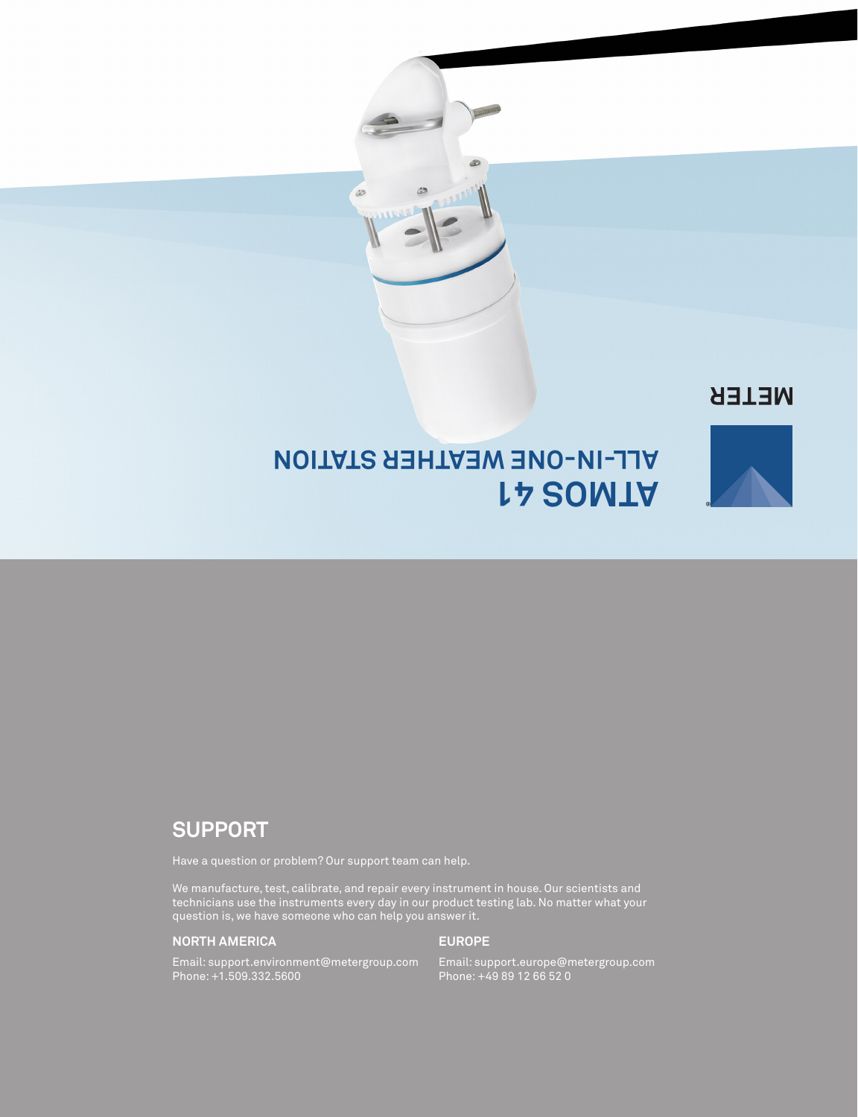B

## **NETER**



## **ATMOS 41 ALL-IN-ONE WEATHER STATION**

## **SUPPORT**

Have a question or problem? Our support team can help.

We manufacture, test, calibrate, and repair every instrument in house. Our scientists and technicians use the instruments every day in our product testing lab. No matter what your question is, we have someone who can help you answer it.

#### **NORTH AMERICA**

#### **EUROPE**

Email: support.environment@metergroup.com Phone: +1.509.332.5600

Email: support.europe@metergroup.com Phone: +49 89 12 66 52 0